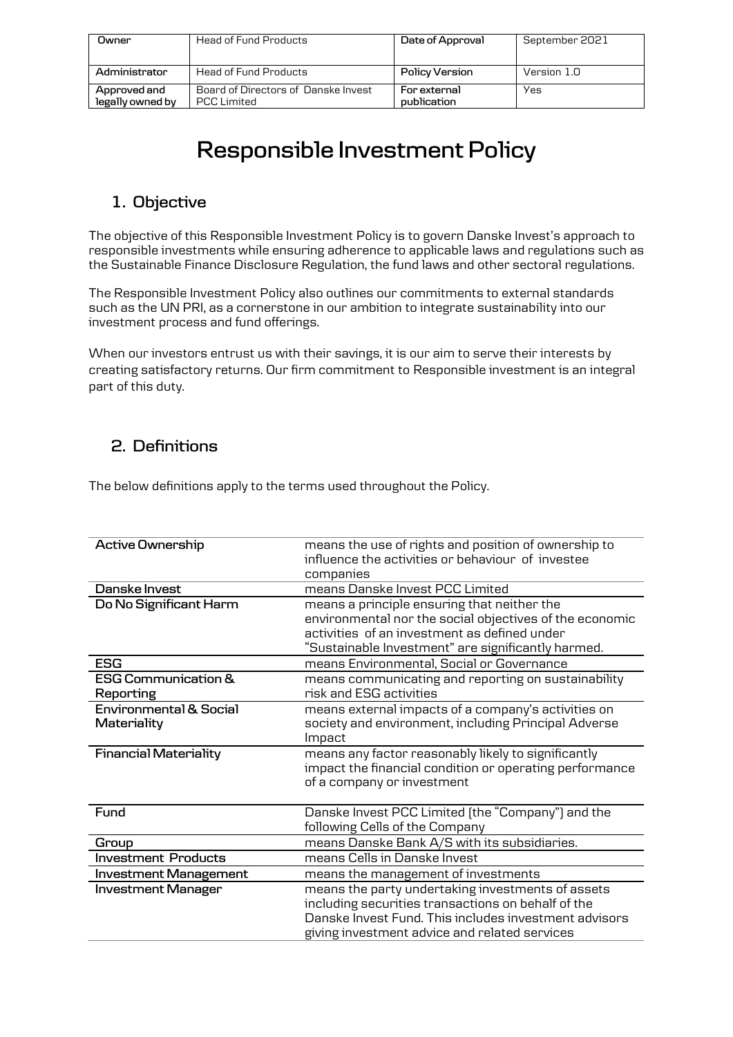| Owner                            | <b>Head of Fund Products</b>                              | Date of Approval            | September 2021 |
|----------------------------------|-----------------------------------------------------------|-----------------------------|----------------|
| Administrator                    | <b>Head of Fund Products</b>                              | Policy Version              | Version 1.0    |
| Approved and<br>legally owned by | Board of Directors of Danske Invest<br><b>PCC</b> Limited | For external<br>publication | Yes            |

# **Responsible Investment Policy**

# **1. Objective**

The objective of this Responsible Investment Policy is to govern Danske Invest's approach to responsible investments while ensuring adherence to applicable laws and regulations such as the Sustainable Finance Disclosure Regulation, the fund laws and other sectoral regulations.

The Responsible Investment Policy also outlines our commitments to external standards such as the UN PRI, as a cornerstone in our ambition to integrate sustainability into our investment process and fund offerings.

When our investors entrust us with their savings, it is our aim to serve their interests by creating satisfactory returns. Our firm commitment to Responsible investment is an integral part of this duty.

## **2. Definitions**

The below definitions apply to the terms used throughout the Policy.

| <b>Active Ownership</b>                          | means the use of rights and position of ownership to<br>influence the activities or behaviour of investee<br>companies                                                                                            |
|--------------------------------------------------|-------------------------------------------------------------------------------------------------------------------------------------------------------------------------------------------------------------------|
| Danske Invest                                    | means Danske Invest PCC Limited                                                                                                                                                                                   |
| Do No Significant Harm                           | means a principle ensuring that neither the<br>environmental nor the social objectives of the economic<br>activities of an investment as defined under<br>"Sustainable Investment" are significantly harmed.      |
| <b>ESG</b>                                       | means Environmental, Social or Governance                                                                                                                                                                         |
| <b>ESG Communication &amp;</b><br>Reporting      | means communicating and reporting on sustainability<br>risk and ESG activities                                                                                                                                    |
| <b>Environmental &amp; Social</b><br>Materiality | means external impacts of a company's activities on<br>society and environment, including Principal Adverse<br>Impact                                                                                             |
| <b>Financial Materiality</b>                     | means any factor reasonably likely to significantly<br>impact the financial condition or operating performance<br>of a company or investment                                                                      |
| Fund                                             | Danske Invest PCC Limited (the "Company") and the<br>following Cells of the Company                                                                                                                               |
| Group                                            | means Danske Bank A/S with its subsidiaries.                                                                                                                                                                      |
| <b>Investment Products</b>                       | means Cells in Danske Invest                                                                                                                                                                                      |
| <b>Investment Management</b>                     | means the management of investments                                                                                                                                                                               |
| <b>Investment Manager</b>                        | means the party undertaking investments of assets<br>including securities transactions on behalf of the<br>Danske Invest Fund. This includes investment advisors<br>giving investment advice and related services |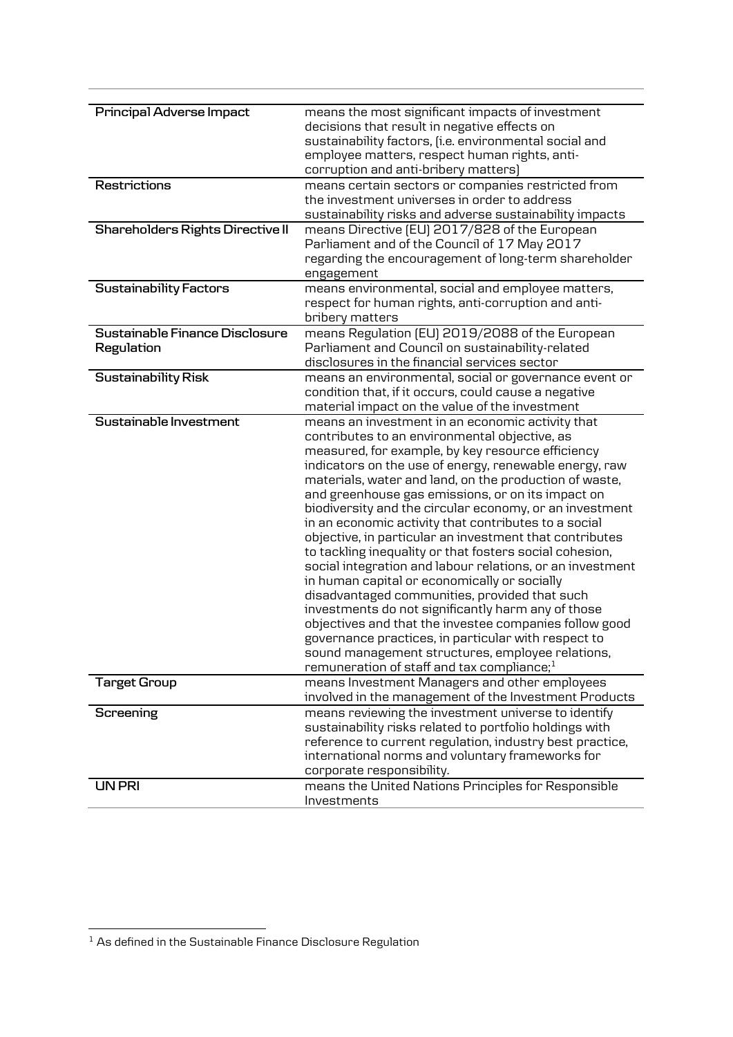| Principal Adverse Impact                | means the most significant impacts of investment          |
|-----------------------------------------|-----------------------------------------------------------|
|                                         | decisions that result in negative effects on              |
|                                         | sustainability factors, (i.e. environmental social and    |
|                                         | employee matters, respect human rights, anti-             |
|                                         | corruption and anti-bribery matters)                      |
| Restrictions                            | means certain sectors or companies restricted from        |
|                                         | the investment universes in order to address              |
|                                         | sustainability risks and adverse sustainability impacts   |
| <b>Shareholders Rights Directive II</b> | means Directive [EU] 2017/828 of the European             |
|                                         | Parliament and of the Council of 17 May 2017              |
|                                         | regarding the encouragement of long-term shareholder      |
|                                         | engagement                                                |
| <b>Sustainability Factors</b>           | means environmental, social and employee matters,         |
|                                         | respect for human rights, anti-corruption and anti-       |
|                                         | bribery matters                                           |
| Sustainable Finance Disclosure          | means Regulation [EU] 2019/2088 of the European           |
| Regulation                              | Parliament and Council on sustainability-related          |
|                                         | disclosures in the financial services sector              |
| <b>Sustainability Risk</b>              | means an environmental, social or governance event or     |
|                                         | condition that, if it occurs, could cause a negative      |
|                                         | material impact on the value of the investment            |
| Sustainable Investment                  | means an investment in an economic activity that          |
|                                         | contributes to an environmental objective, as             |
|                                         | measured, for example, by key resource efficiency         |
|                                         | indicators on the use of energy, renewable energy, raw    |
|                                         | materials, water and land, on the production of waste,    |
|                                         | and greenhouse gas emissions, or on its impact on         |
|                                         | biodiversity and the circular economy, or an investment   |
|                                         | in an economic activity that contributes to a social      |
|                                         | objective, in particular an investment that contributes   |
|                                         | to tackling inequality or that fosters social cohesion,   |
|                                         | social integration and labour relations, or an investment |
|                                         | in human capital or economically or socially              |
|                                         | disadvantaged communities, provided that such             |
|                                         | investments do not significantly harm any of those        |
|                                         | objectives and that the investee companies follow good    |
|                                         | governance practices, in particular with respect to       |
|                                         | sound management structures, employee relations,          |
|                                         | remuneration of staff and tax compliance; <sup>1</sup>    |
| <b>Target Group</b>                     | means Investment Managers and other employees             |
|                                         | involved in the management of the Investment Products     |
| Screening                               | means reviewing the investment universe to identify       |
|                                         | sustainability risks related to portfolio holdings with   |
|                                         | reference to current regulation, industry best practice,  |
|                                         | international norms and voluntary frameworks for          |
|                                         | corporate responsibility.                                 |
| <b>UN PRI</b>                           | means the United Nations Principles for Responsible       |
|                                         | Investments                                               |
|                                         |                                                           |

1

 $1$  As defined in the Sustainable Finance Disclosure Regulation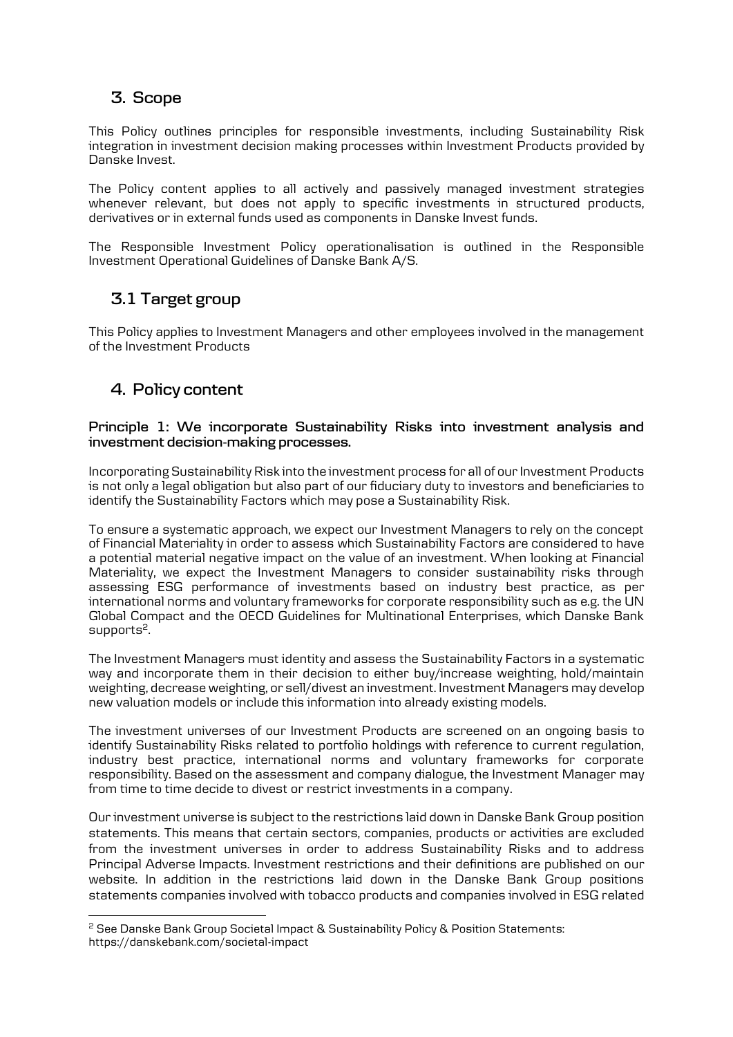# **3. Scope**

This Policy outlines principles for responsible investments, including Sustainability Risk integration in investment decision making processes within Investment Products provided by Danske Invest.

The Policy content applies to all actively and passively managed investment strategies whenever relevant, but does not apply to specific investments in structured products, derivatives or in external funds used as components in Danske Invest funds.

The Responsible Investment Policy operationalisation is outlined in the Responsible Investment Operational Guidelines of Danske Bank A/S.

## **3.1 Target group**

This Policy applies to Investment Managers and other employees involved in the management of the Investment Products

### **4. Policy content**

**.** 

#### **Principle 1: We incorporate Sustainability Risks into investment analysis and investment decision-making processes.**

Incorporating Sustainability Risk into the investment process for all of our Investment Products is not only a legal obligation but also part of our fiduciary duty to investors and beneficiaries to identify the Sustainability Factors which may pose a Sustainability Risk.

To ensure a systematic approach, we expect our Investment Managers to rely on the concept of Financial Materiality in order to assess which Sustainability Factors are considered to have a potential material negative impact on the value of an investment. When looking at Financial Materiality, we expect the Investment Managers to consider sustainability risks through assessing ESG performance of investments based on industry best practice, as per international norms and voluntary frameworks for corporate responsibility such as e.g. the UN Global Compact and the OECD Guidelines for Multinational Enterprises, which Danske Bank supports<sup>2</sup>.

The Investment Managers must identity and assess the Sustainability Factors in a systematic way and incorporate them in their decision to either buy/increase weighting, hold/maintain weighting, decrease weighting, or sell/divest an investment. Investment Managers may develop new valuation models or include this information into already existing models.

The investment universes of our Investment Products are screened on an ongoing basis to identify Sustainability Risks related to portfolio holdings with reference to current regulation, industry best practice, international norms and voluntary frameworks for corporate responsibility. Based on the assessment and company dialogue, the Investment Manager may from time to time decide to divest or restrict investments in a company.

Our investment universe is subject to the restrictions laid down in Danske Bank Group position statements. This means that certain sectors, companies, products or activities are excluded from the investment universes in order to address Sustainability Risks and to address Principal Adverse Impacts. Investment restrictions and their definitions are published on our website. In addition in the restrictions laid down in the Danske Bank Group positions statements companies involved with tobacco products and companies involved in ESG related

<sup>2</sup> See Danske Bank Group Societal Impact & Sustainability Policy & Position Statements: https://danskebank.com/societal-impact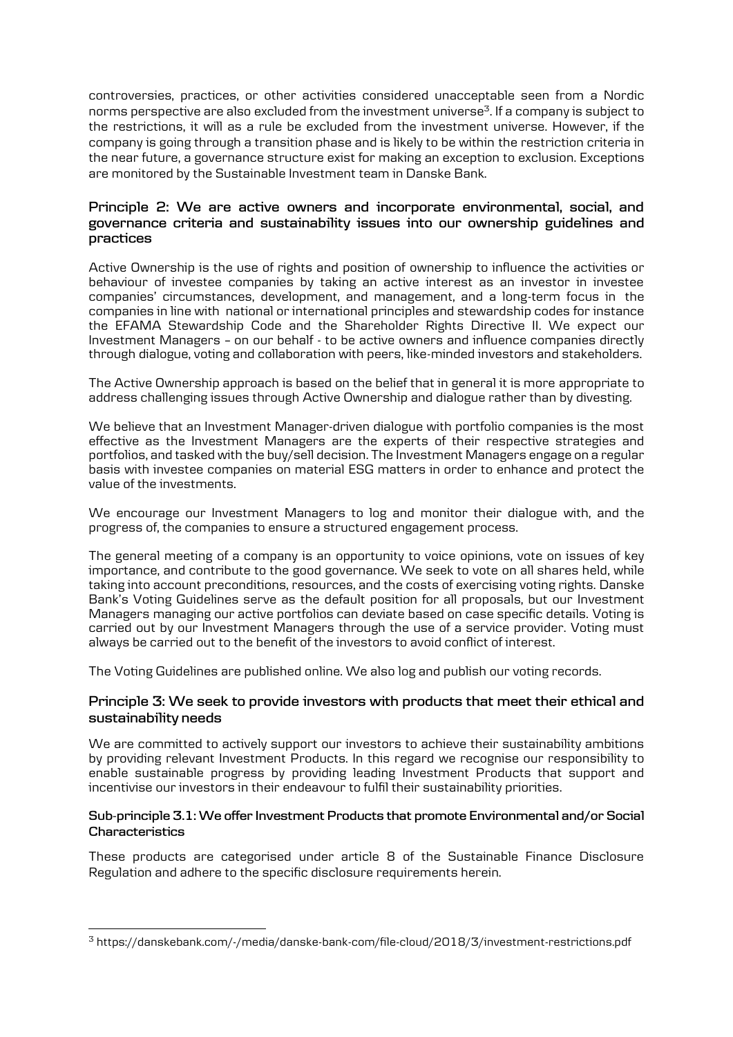controversies, practices, or other activities considered unacceptable seen from a Nordic norms perspective are also excluded from the investment universe $3$ . If a company is subject to the restrictions, it will as a rule be excluded from the investment universe. However, if the company is going through a transition phase and is likely to be within the restriction criteria in the near future, a governance structure exist for making an exception to exclusion. Exceptions are monitored by the Sustainable Investment team in Danske Bank.

#### **Principle 2: We are active owners and incorporate environmental, social, and governance criteria and sustainability issues into our ownership guidelines and practices**

Active Ownership is the use of rights and position of ownership to influence the activities or behaviour of investee companies by taking an active interest as an investor in investee companies' circumstances, development, and management, and a long-term focus in the companies in line with national or international principles and stewardship codes for instance the EFAMA Stewardship Code and the Shareholder Rights Directive II. We expect our Investment Managers – on our behalf - to be active owners and influence companies directly through dialogue, voting and collaboration with peers, like-minded investors and stakeholders.

The Active Ownership approach is based on the belief that in general it is more appropriate to address challenging issues through Active Ownership and dialogue rather than by divesting.

We believe that an Investment Manager-driven dialogue with portfolio companies is the most effective as the Investment Managers are the experts of their respective strategies and portfolios, and tasked with the buy/sell decision. The Investment Managers engage on a regular basis with investee companies on material ESG matters in order to enhance and protect the value of the investments.

We encourage our Investment Managers to log and monitor their dialogue with, and the progress of, the companies to ensure a structured engagement process.

The general meeting of a company is an opportunity to voice opinions, vote on issues of key importance, and contribute to the good governance. We seek to vote on all shares held, while taking into account preconditions, resources, and the costs of exercising voting rights. Danske Bank's Voting Guidelines serve as the default position for all proposals, but our Investment Managers managing our active portfolios can deviate based on case specific details. Voting is carried out by our Investment Managers through the use of a service provider. Voting must always be carried out to the benefit of the investors to avoid conflict of interest.

The Voting Guidelines are published online. We also log and publish our voting records.

#### **Principle 3: We seek to provide investors with products that meet their ethical and sustainability needs**

We are committed to actively support our investors to achieve their sustainability ambitions by providing relevant Investment Products. In this regard we recognise our responsibility to enable sustainable progress by providing leading Investment Products that support and incentivise our investors in their endeavour to fulfil their sustainability priorities.

#### **Sub-principle 3.1: We offer Investment Products that promote Environmental and/or Social Characteristics**

These products are categorised under article 8 of the Sustainable Finance Disclosure Regulation and adhere to the specific disclosure requirements herein.

1

<sup>3</sup> https://danskebank.com/-/media/danske-bank-com/file-cloud/2018/3/investment-restrictions.pdf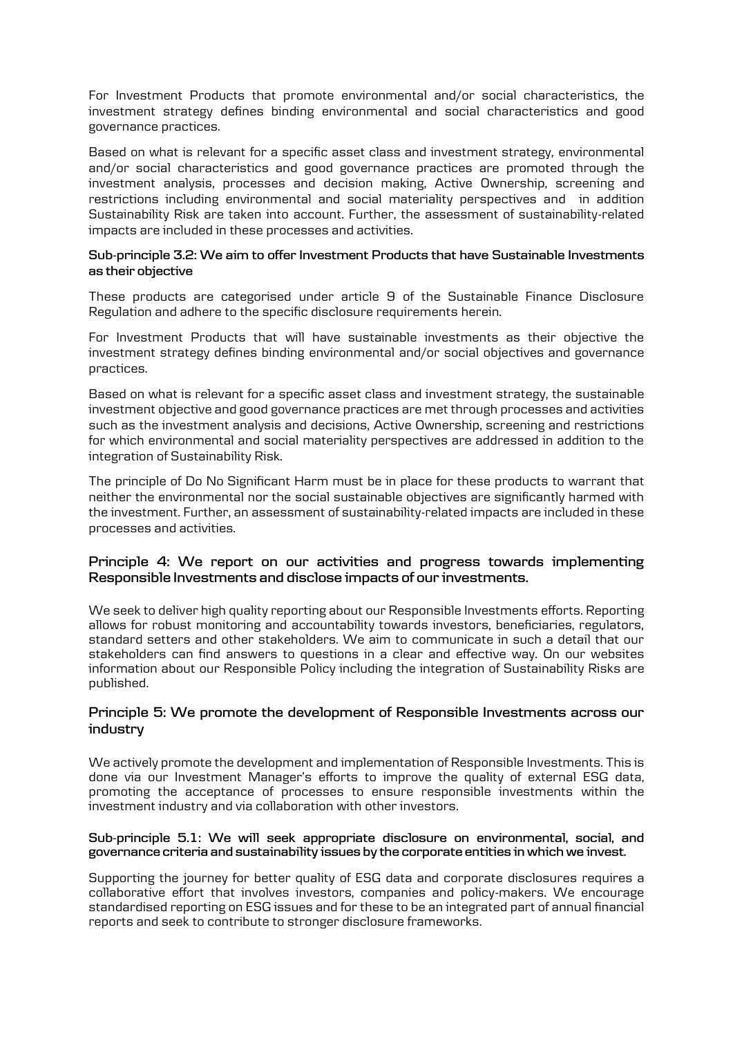For Investment Products that promote environmental and/or social characteristics, the investment strategy defines binding environmental and social characteristics and good governance practices.

Based on what is relevant for a specific asset class and investment strategy, environmental and/or social characteristics and good governance practices are promoted through the investment analysis, processes and decision making, Active Ownership, screening and restrictions including environmental and social materiality perspectives and in addition Sustainability Risk are taken into account. Further, the assessment of sustainability-related impacts are included in these processes and activities.

#### **Sub-principle 3.2: We aim to offer Investment Products that have Sustainable Investments as their objective**

These products are categorised under article 9 of the Sustainable Finance Disclosure Regulation and adhere to the specific disclosure requirements herein.

For Investment Products that will have sustainable investments as their objective the investment strategy defines binding environmental and/or social objectives and governance practices.

Based on what is relevant for a specific asset class and investment strategy, the sustainable investment objective and good governance practices are met through processes and activities such as the investment analysis and decisions, Active Ownership, screening and restrictions for which environmental and social materiality perspectives are addressed in addition to the integration of Sustainability Risk.

The principle of Do No Significant Harm must be in place for these products to warrant that neither the environmental nor the social sustainable objectives are significantly harmed with the investment. Further, an assessment of sustainability-related impacts are included in these processes and activities.

#### **Principle 4: We report on our activities and progress towards implementing Responsible Investments and disclose impacts of our investments.**

We seek to deliver high quality reporting about our Responsible Investments efforts. Reporting allows for robust monitoring and accountability towards investors, beneficiaries, regulators, standard setters and other stakeholders. We aim to communicate in such a detail that our stakeholders can find answers to questions in a clear and effective way. On our websites information about our Responsible Policy including the integration of Sustainability Risks are published.

#### **Principle 5: We promote the development of Responsible Investments across our industry**

We actively promote the development and implementation of Responsible Investments. This is done via our Investment Manager's efforts to improve the quality of external ESG data, promoting the acceptance of processes to ensure responsible investments within the investment industry and via collaboration with other investors.

#### **Sub-principle 5.1: We will seek appropriate disclosure on environmental, social, and governance criteria and sustainability issues by the corporate entities in which we invest.**

Supporting the journey for better quality of ESG data and corporate disclosures requires a collaborative effort that involves investors, companies and policy-makers. We encourage standardised reporting on ESG issues and for these to be an integrated part of annual financial reports and seek to contribute to stronger disclosure frameworks.